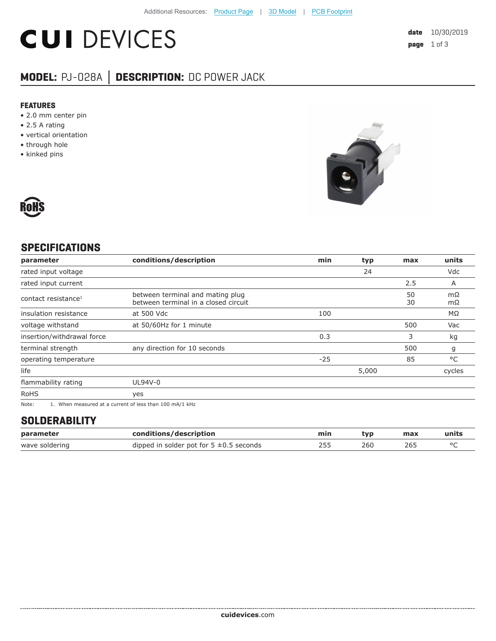# **CUI DEVICES**

### **MODEL:** PJ-028A **│ DESCRIPTION:** DC POWER JACK

#### **FEATURES**

- 2.0 mm center pin
- 2.5 A rating
- vertical orientation
- through hole
- kinked pins





#### **SPECIFICATIONS**

| parameter                       | conditions/description                                                   | min   | typ   | max      | units    |
|---------------------------------|--------------------------------------------------------------------------|-------|-------|----------|----------|
| rated input voltage             |                                                                          |       | 24    |          | Vdc      |
| rated input current             |                                                                          |       |       | 2.5      | A        |
| contact resistance <sup>1</sup> | between terminal and mating plug<br>between terminal in a closed circuit |       |       | 50<br>30 | mΩ<br>mΩ |
| insulation resistance           | at 500 Vdc                                                               | 100   |       |          | ΜΩ       |
| voltage withstand               | at 50/60Hz for 1 minute                                                  |       |       | 500      | Vac      |
| insertion/withdrawal force      |                                                                          | 0.3   |       | 3        | kg       |
| terminal strength               | any direction for 10 seconds                                             |       |       | 500      | g        |
| operating temperature           |                                                                          | $-25$ |       | 85       | °C       |
| life                            |                                                                          |       | 5,000 |          | cycles   |
| flammability rating             | UL94V-0                                                                  |       |       |          |          |
| <b>RoHS</b>                     | yes                                                                      |       |       |          |          |
| $\mathbf{r}$                    |                                                                          |       |       |          |          |

Note: 1. When measured at a current of less than 100 mA/1 kHz

#### **SOLDERABILITY**

| parameter      | conditions/description                       | min | tvp | max | units |
|----------------|----------------------------------------------|-----|-----|-----|-------|
| wave soldering | dipped in solder pot for $5 \pm 0.5$ seconds |     | 260 | 26. |       |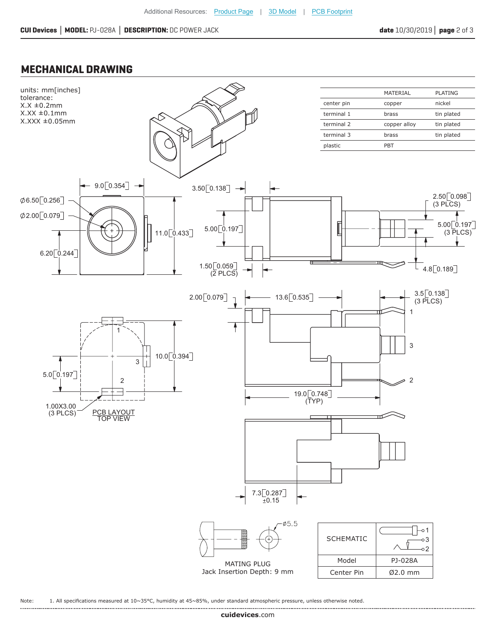#### **MECHANICAL DRAWING**



Note: 1. All specifications measured at 10~35°C, humidity at 45~85%, under standard atmospheric pressure, unless otherwise noted.